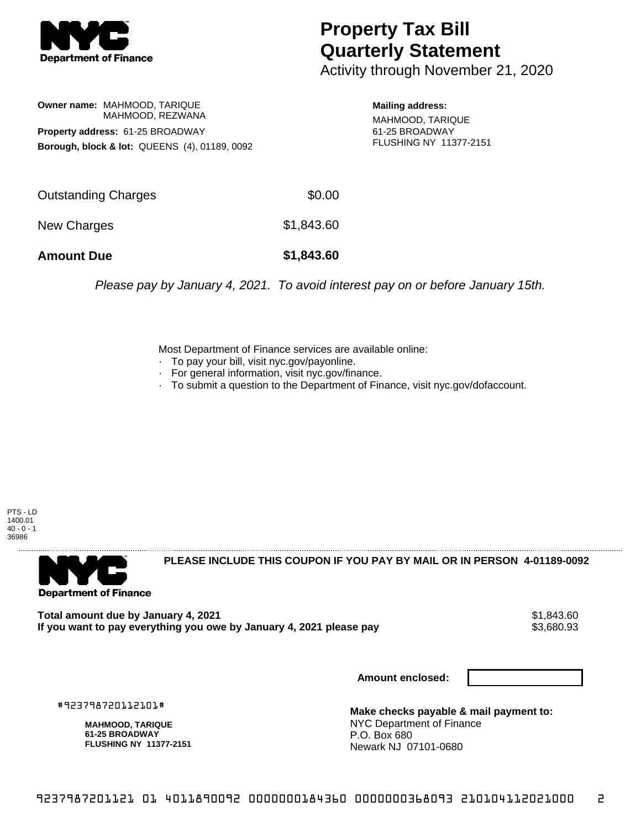

## **Property Tax Bill Quarterly Statement**

Activity through November 21, 2020

**Owner name:** MAHMOOD, TARIQUE MAHMOOD, REZWANA **Property address:** 61-25 BROADWAY **Borough, block & lot:** QUEENS (4), 01189, 0092

**Mailing address:** MAHMOOD, TARIQUE 61-25 BROADWAY FLUSHING NY 11377-2151

| <b>Amount Due</b>   | \$1,843.60 |
|---------------------|------------|
| New Charges         | \$1,843.60 |
| Outstanding Charges | \$0.00     |

Please pay by January 4, 2021. To avoid interest pay on or before January 15th.

Most Department of Finance services are available online:

- · To pay your bill, visit nyc.gov/payonline.
- For general information, visit nyc.gov/finance.
- · To submit a question to the Department of Finance, visit nyc.gov/dofaccount.

PTS - LD 1400.01  $40 - 0 - 1$ 36986



**PLEASE INCLUDE THIS COUPON IF YOU PAY BY MAIL OR IN PERSON 4-01189-0092** 

**Total amount due by January 4, 2021**<br>If you want to pay everything you owe by January 4, 2021 please pay **strategy of the Same of the S**3,680.93 If you want to pay everything you owe by January 4, 2021 please pay

**Amount enclosed:**

#923798720112101#

**MAHMOOD, TARIQUE 61-25 BROADWAY FLUSHING NY 11377-2151**

**Make checks payable & mail payment to:** NYC Department of Finance P.O. Box 680 Newark NJ 07101-0680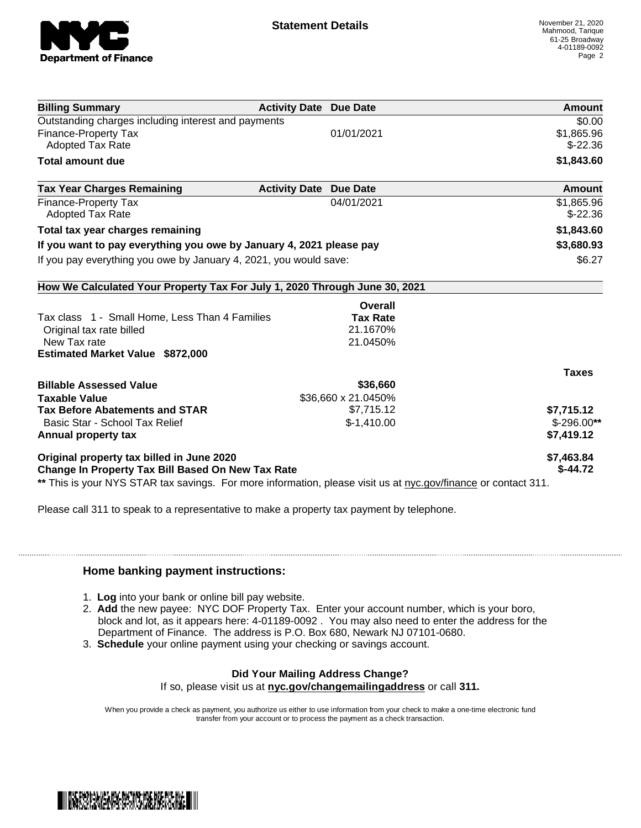

| <b>Activity Date Due Date</b>                                              | Amount                                                                                                                                |
|----------------------------------------------------------------------------|---------------------------------------------------------------------------------------------------------------------------------------|
|                                                                            | \$0.00                                                                                                                                |
| 01/01/2021                                                                 | \$1,865.96                                                                                                                            |
|                                                                            | $$-22.36$                                                                                                                             |
|                                                                            | \$1,843.60                                                                                                                            |
| <b>Activity Date</b><br><b>Due Date</b>                                    | <b>Amount</b>                                                                                                                         |
| 04/01/2021                                                                 | \$1,865.96                                                                                                                            |
|                                                                            | $$-22.36$                                                                                                                             |
|                                                                            | \$1,843.60                                                                                                                            |
| If you want to pay everything you owe by January 4, 2021 please pay        | \$3,680.93                                                                                                                            |
| If you pay everything you owe by January 4, 2021, you would save:          | \$6.27                                                                                                                                |
| How We Calculated Your Property Tax For July 1, 2020 Through June 30, 2021 |                                                                                                                                       |
| Overall                                                                    |                                                                                                                                       |
| <b>Tax Rate</b>                                                            |                                                                                                                                       |
| 21.1670%                                                                   |                                                                                                                                       |
| 21.0450%                                                                   |                                                                                                                                       |
|                                                                            |                                                                                                                                       |
|                                                                            | <b>Taxes</b>                                                                                                                          |
| \$36,660                                                                   |                                                                                                                                       |
|                                                                            |                                                                                                                                       |
| \$7,715.12                                                                 | \$7,715.12                                                                                                                            |
| $$-1,410.00$                                                               | $$-296.00**$                                                                                                                          |
|                                                                            | \$7,419.12                                                                                                                            |
|                                                                            | \$7,463.84                                                                                                                            |
| <b>Change In Property Tax Bill Based On New Tax Rate</b>                   | $$-44.72$                                                                                                                             |
|                                                                            | \$36,660 x 21.0450%<br>** This is your NYS STAR tax savings. For more information, please visit us at nyc.gov/finance or contact 311. |

Please call 311 to speak to a representative to make a property tax payment by telephone.

## **Home banking payment instructions:**

- 1. **Log** into your bank or online bill pay website.
- 2. **Add** the new payee: NYC DOF Property Tax. Enter your account number, which is your boro, block and lot, as it appears here: 4-01189-0092 . You may also need to enter the address for the Department of Finance. The address is P.O. Box 680, Newark NJ 07101-0680.
- 3. **Schedule** your online payment using your checking or savings account.

## **Did Your Mailing Address Change?**

If so, please visit us at **nyc.gov/changemailingaddress** or call **311.**

When you provide a check as payment, you authorize us either to use information from your check to make a one-time electronic fund transfer from your account or to process the payment as a check transaction.